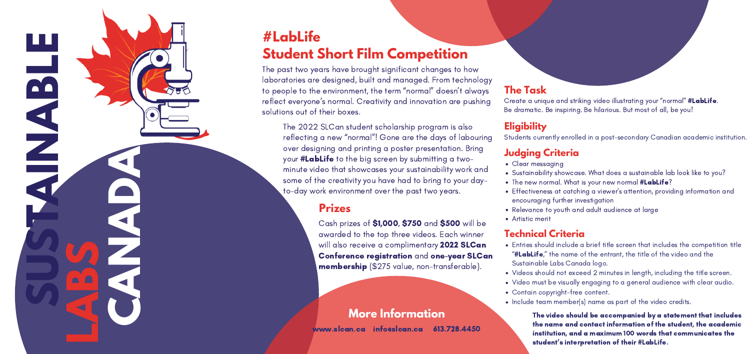**# L a b L i fe Student Short Film Competition** 

The past two years have brought significant changes to how laboratories are designed, built and managed. From technolo g y to people to the environment, the term "normal" doesn't always reflect everyone's normal. Creativity and innovation are pushing Cr<br>solutions out of their boxes. solutions out of their boxe:

The 2022 SLCan student scholarship program is also reflecting a new "normal"! Gone are the days of labouring over designing and printing a poster presentation. Bring your **#LabLife** to the big screen by submitting a twominute video that showcases your sustainability work and some of the creativity you have had to bring to your dayto-day work environment over the past two year: n't always<br>
re pushing<br>
cre pushing<br>
Flabouring<br>
Flabouring<br>
s.<br> **The Cream**<br>
S.<br> **The Cream**<br> **Place S**<br> **Place S**<br> **Place S**<br> **Place S**<br> **Place S**<br> **Place S**<br> **Place S**<br> **Place S**<br> **Place S**<br> **Place S**<br> **Place S**<br> **Place** 

**LABS**<br>
CABS<br>
CABS<br>
CABS<br>
CABS<br>
CABS<br>
CABS<br>
CABS<br>
CABS<br>
CABS<br>
CABS<br>
CABS<br>
CABS<br>
CABS

reate a unique and striking video illustrating your "normal" #LabLife. Be dramatic. Be inspiring. Be hilarious. But most of all, be you!

### **Eligibility**

Students currently enrolled in a post-secondary Canadian academic institution.

- Clear messaging
- Sustainability showcase. What does a sustainable lab look like to you?
- The new normal. What is your new normal **#LabLife**?
- Effectiveness at catching a viewer's attention, providing information and encouraging further investigation
- Relevance to youth and adult audience at large
- Artistic merit

## **More Information**

www.slcan.ca info@slcan.ca 613.728.4450

**SUSTAINABLE**

**CANADA** 

Cash prizes of \$1,000, \$750 and \$500 will be awarded to the top three videos. Each winner will also receive a complimentary 2022 SLCan Conference registration and one-year SLCan membership (\$275 value, non-transferable) **Prizes**<br>Cash prizes of \$1,000, \$750 and \$500 will be<br>awarded to the top three videos. Each winner<br>will also receive a complimentary 2022 SLCar<br>Conference registration and one-year SLC<br>membership (\$275 value, non-transfera

- Entries should include a brief title screen that includes the competition title "#LabLife," the name of the entrant, the title of the video and the Sustainable Labs Canada logo. **CRET CONDIGE SET ASSESS AND ASSESS AND ASSESS AND ASSESS AND A THEORY OF THEORY OF THEORY ASSESS AND A THEORY OF THEORY AND A THEORY OF THEORY OF THEORY AND THEORY AND THEORY AND THEORY OF THEORY OF THEORY OF THEORY OF TH**
- Videos should not exceed 2 minutes in length, including the title screen.
- Video must be visually engaging to a general audience with clear audio.
- Contain copyright-free content.
- 

The video should be accompanied by a statement that includes the name and contact information of the student, the academic institution, and a maximum 100 words that communicates the student's interpretation of their #LabLife.

### **h e T a s k**

### **T e c h n i c a l C r i t e r i a**